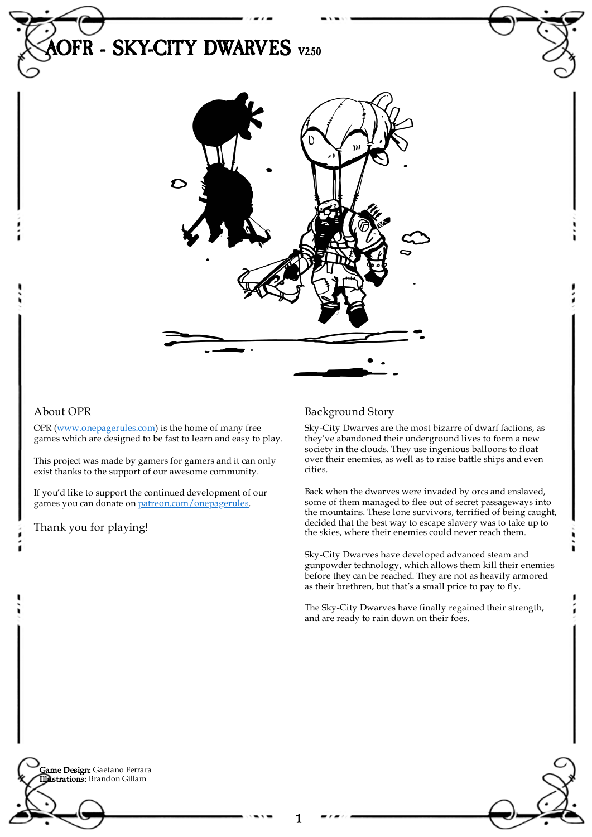# **DFR - SKY-CITY DWARVES** V250

# About OPR

OPR [\(www.onepagerules.com](https://webapp.onepagerules.com/army-books/view/AcDXPPXmWrgHChlS~6/https//www.onepagerules.com)) is the home of many free games which are designed to be fast to learn and easy to play.

This project was made by gamers for gamers and it can only exist thanks to the support of our awesome community.

If you'd like to support the continued development of our games you can donate on [patreon.com/onepagerules](https://www.patreon.com/onepagerules).

Thank you for playing!

# Background Story

Sky-City Dwarves are the most bizarre of dwarf factions, as they've abandoned their underground lives to form a new society in the clouds. They use ingenious balloons to float over their enemies, as well as to raise battle ships and even cities.

Back when the dwarves were invaded by orcs and enslaved, some of them managed to flee out of secret passageways into the mountains. These lone survivors, terrified of being caught, decided that the best way to escape slavery was to take up to the skies, where their enemies could never reach them.

Sky-City Dwarves have developed advanced steam and gunpowder technology, which allows them kill their enemies before they can be reached. They are not as heavily armored as their brethren, but that's a small price to pay to fly.

The Sky-City Dwarves have finally regained their strength, and are ready to rain down on their foes.

**Game Design:** Gaetano Ferrara Illustrations: Brandon Gillam